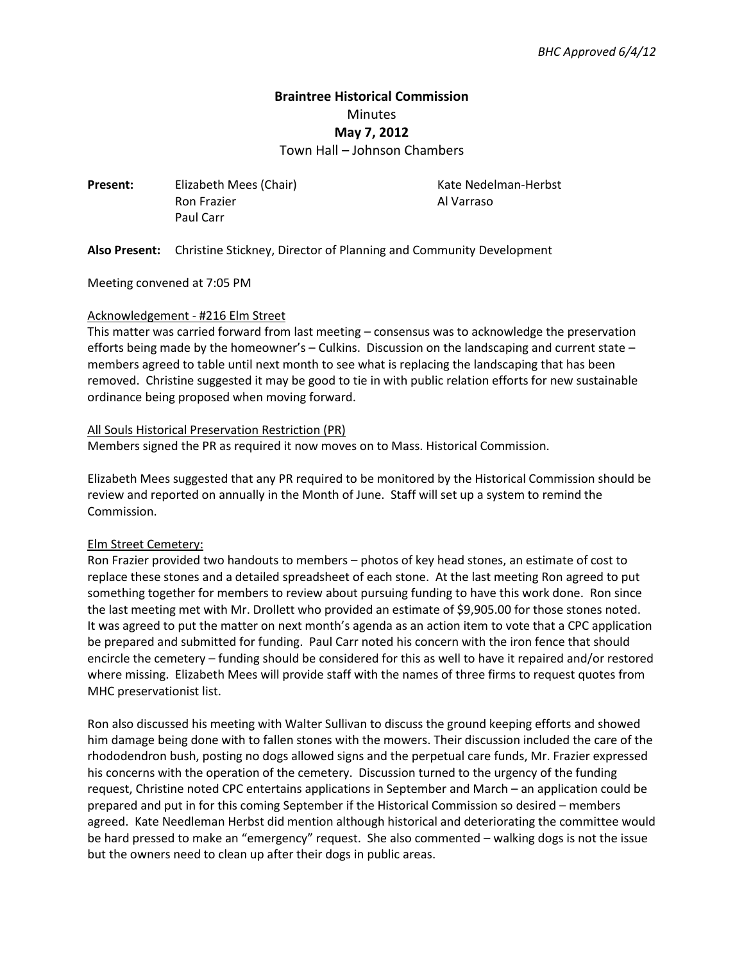# **Braintree Historical Commission**  Minutes **May 7, 2012**

Town Hall – Johnson Chambers

**Present:** Elizabeth Mees (Chair) **Kate Nedelman-Herbst** Ron Frazier **Al Varraso** Paul Carr

**Also Present:** Christine Stickney, Director of Planning and Community Development

Meeting convened at 7:05 PM

#### Acknowledgement - #216 Elm Street

This matter was carried forward from last meeting – consensus was to acknowledge the preservation efforts being made by the homeowner's – Culkins. Discussion on the landscaping and current state – members agreed to table until next month to see what is replacing the landscaping that has been removed. Christine suggested it may be good to tie in with public relation efforts for new sustainable ordinance being proposed when moving forward.

#### All Souls Historical Preservation Restriction (PR)

Members signed the PR as required it now moves on to Mass. Historical Commission.

Elizabeth Mees suggested that any PR required to be monitored by the Historical Commission should be review and reported on annually in the Month of June. Staff will set up a system to remind the Commission.

#### Elm Street Cemetery:

Ron Frazier provided two handouts to members – photos of key head stones, an estimate of cost to replace these stones and a detailed spreadsheet of each stone. At the last meeting Ron agreed to put something together for members to review about pursuing funding to have this work done. Ron since the last meeting met with Mr. Drollett who provided an estimate of \$9,905.00 for those stones noted. It was agreed to put the matter on next month's agenda as an action item to vote that a CPC application be prepared and submitted for funding. Paul Carr noted his concern with the iron fence that should encircle the cemetery – funding should be considered for this as well to have it repaired and/or restored where missing. Elizabeth Mees will provide staff with the names of three firms to request quotes from MHC preservationist list.

Ron also discussed his meeting with Walter Sullivan to discuss the ground keeping efforts and showed him damage being done with to fallen stones with the mowers. Their discussion included the care of the rhododendron bush, posting no dogs allowed signs and the perpetual care funds, Mr. Frazier expressed his concerns with the operation of the cemetery. Discussion turned to the urgency of the funding request, Christine noted CPC entertains applications in September and March – an application could be prepared and put in for this coming September if the Historical Commission so desired – members agreed. Kate Needleman Herbst did mention although historical and deteriorating the committee would be hard pressed to make an "emergency" request. She also commented – walking dogs is not the issue but the owners need to clean up after their dogs in public areas.